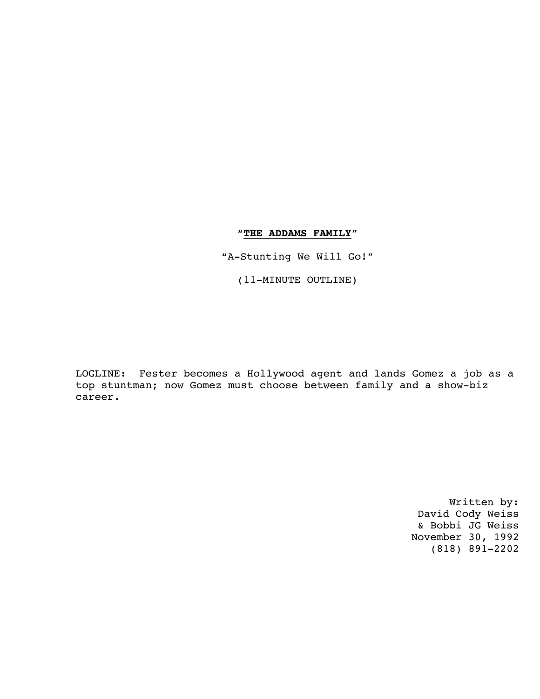# "**THE ADDAMS FAMILY**"

"A-Stunting We Will Go!"

(11-MINUTE OUTLINE)

LOGLINE: Fester becomes a Hollywood agent and lands Gomez a job as a top stuntman; now Gomez must choose between family and a show-biz career.

> Written by: David Cody Weiss & Bobbi JG Weiss November 30, 1992 (818) 891-2202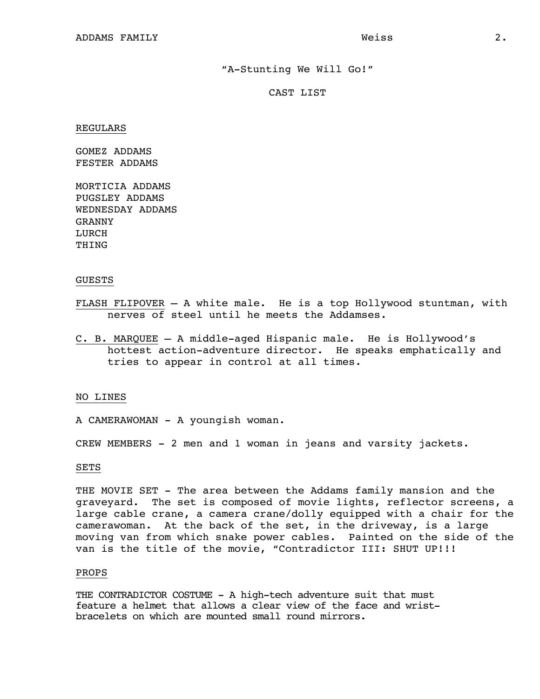### "A-Stunting We Will Go!"

## CAST LIST

REGULARS

GOMEZ ADDAMS FESTER ADDAMS

MORTICIA ADDAMS PUGSLEY ADDAMS WEDNESDAY ADDAMS GRANNY LURCH THING

### GUESTS

- FLASH FLIPOVER A white male. He is a top Hollywood stuntman, with nerves of steel until he meets the Addamses.
- C. B. MARQUEE A middle-aged Hispanic male. He is Hollywood's hottest action-adventure director. He speaks emphatically and tries to appear in control at all times.

#### NO LINES

- A CAMERAWOMAN A youngish woman.
- CREW MEMBERS 2 men and 1 woman in jeans and varsity jackets.

### SETS

THE MOVIE SET - The area between the Addams family mansion and the graveyard. The set is composed of movie lights, reflector screens, a large cable crane, a camera crane/dolly equipped with a chair for the camerawoman. At the back of the set, in the driveway, is a large moving van from which snake power cables. Painted on the side of the van is the title of the movie, "Contradictor III: SHUT UP!!!

#### PROPS

THE CONTRADICTOR COSTUME - A high-tech adventure suit that must feature a helmet that allows a clear view of the face and wristbracelets on which are mounted small round mirrors.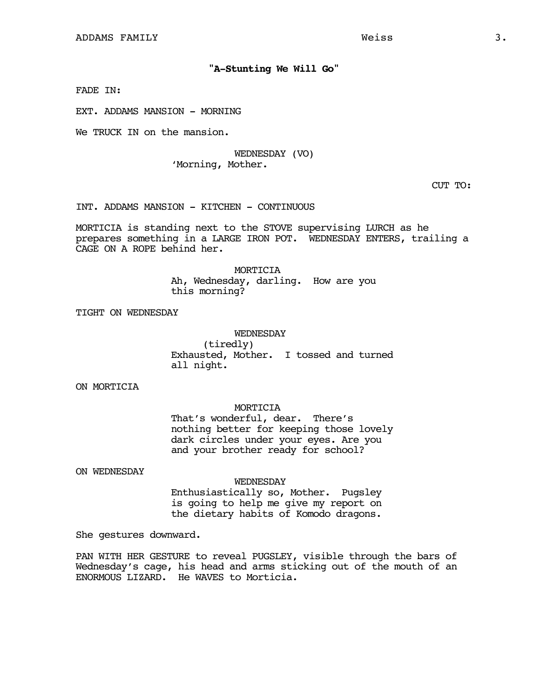## **"A-Stunting We Will Go"**

FADE IN:

EXT. ADDAMS MANSION - MORNING

We TRUCK IN on the mansion.

### WEDNESDAY (VO) 'Morning, Mother.

CUT TO:

INT. ADDAMS MANSION - KITCHEN - CONTINUOUS

MORTICIA is standing next to the STOVE supervising LURCH as he prepares something in a LARGE IRON POT. WEDNESDAY ENTERS, trailing a CAGE ON A ROPE behind her.

> MORTICIA Ah, Wednesday, darling. How are you this morning?

TIGHT ON WEDNESDAY

WEDNESDAY (tiredly) Exhausted, Mother. I tossed and turned all night.

ON MORTICIA

#### MORTICIA

That's wonderful, dear. There's nothing better for keeping those lovely dark circles under your eyes. Are you and your brother ready for school?

ON WEDNESDAY

WEDNESDAY

Enthusiastically so, Mother. Pugsley is going to help me give my report on the dietary habits of Komodo dragons.

She gestures downward.

PAN WITH HER GESTURE to reveal PUGSLEY, visible through the bars of Wednesday's cage, his head and arms sticking out of the mouth of an ENORMOUS LIZARD. He WAVES to Morticia.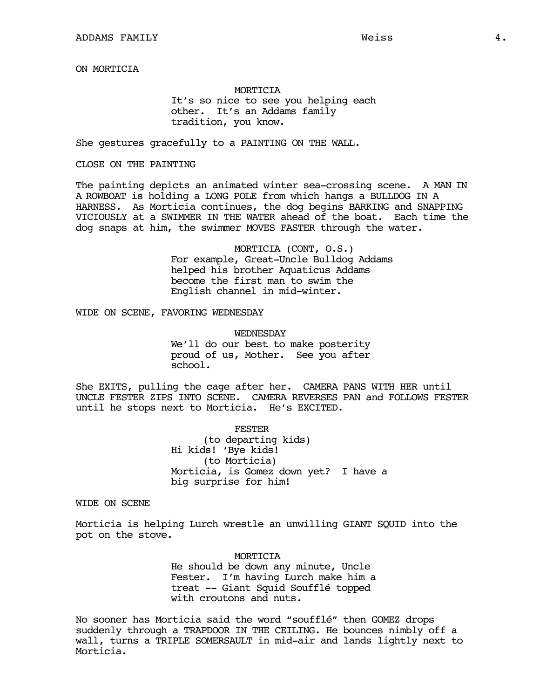ON MORTICIA

## MORTICIA It's so nice to see you helping each other. It's an Addams family tradition, you know.

She gestures gracefully to a PAINTING ON THE WALL.

### CLOSE ON THE PAINTING

The painting depicts an animated winter sea-crossing scene. A MAN IN A ROWBOAT is holding a LONG POLE from which hangs a BULLDOG IN A HARNESS. As Morticia continues, the dog begins BARKING and SNAPPING VICIOUSLY at a SWIMMER IN THE WATER ahead of the boat. Each time the dog snaps at him, the swimmer MOVES FASTER through the water.

> MORTICIA (CONT, O.S.) For example, Great-Uncle Bulldog Addams helped his brother Aquaticus Addams become the first man to swim the English channel in mid-winter.

WIDE ON SCENE, FAVORING WEDNESDAY

WEDNESDAY We'll do our best to make posterity proud of us, Mother. See you after school.

She EXITS, pulling the cage after her. CAMERA PANS WITH HER until UNCLE FESTER ZIPS INTO SCENE. CAMERA REVERSES PAN and FOLLOWS FESTER until he stops next to Morticia. He's EXCITED.

> FESTER (to departing kids) Hi kids! 'Bye kids! (to Morticia) Morticia, is Gomez down yet? I have a big surprise for him!

WIDE ON SCENE

Morticia is helping Lurch wrestle an unwilling GIANT SQUID into the pot on the stove.

> MORTICIA He should be down any minute, Uncle Fester. I'm having Lurch make him a treat -- Giant Squid Soufflé topped with croutons and nuts.

No sooner has Morticia said the word "soufflé" then GOMEZ drops suddenly through a TRAPDOOR IN THE CEILING. He bounces nimbly off a wall, turns a TRIPLE SOMERSAULT in mid-air and lands lightly next to Morticia.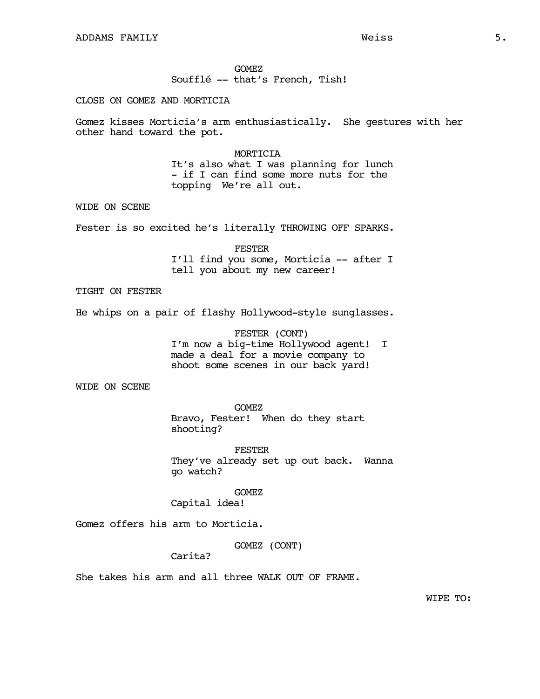#### GOMEZ

Soufflé -- that's French, Tish!

### CLOSE ON GOMEZ AND MORTICIA

Gomez kisses Morticia's arm enthusiastically. She gestures with her other hand toward the pot.

#### MORTICIA

It's also what I was planning for lunch - if I can find some more nuts for the topping We're all out.

WIDE ON SCENE

Fester is so excited he's literally THROWING OFF SPARKS.

FESTER I'll find you some, Morticia -- after I tell you about my new career!

TIGHT ON FESTER

He whips on a pair of flashy Hollywood-style sunglasses.

FESTER (CONT) I'm now a big-time Hollywood agent! I made a deal for a movie company to shoot some scenes in our back yard!

WIDE ON SCENE

GOMEZ Bravo, Fester! When do they start shooting?

FESTER They've already set up out back. Wanna go watch?

GOMEZ

Capital idea!

Gomez offers his arm to Morticia.

GOMEZ (CONT)

Carita?

She takes his arm and all three WALK OUT OF FRAME.

WIPE TO: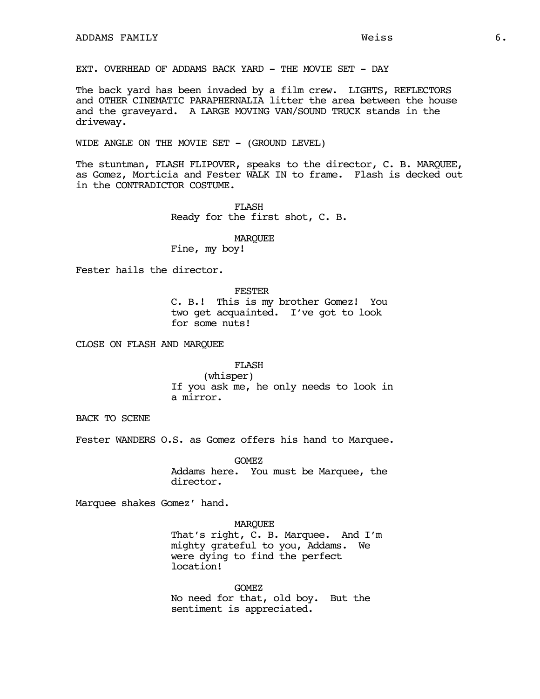EXT. OVERHEAD OF ADDAMS BACK YARD - THE MOVIE SET - DAY

The back yard has been invaded by a film crew. LIGHTS, REFLECTORS and OTHER CINEMATIC PARAPHERNALIA litter the area between the house and the graveyard. A LARGE MOVING VAN/SOUND TRUCK stands in the driveway.

WIDE ANGLE ON THE MOVIE SET - (GROUND LEVEL)

The stuntman, FLASH FLIPOVER, speaks to the director, C. B. MARQUEE, as Gomez, Morticia and Fester WALK IN to frame. Flash is decked out in the CONTRADICTOR COSTUME.

> FLASH Ready for the first shot, C. B.

### MARQUEE

Fine, my boy!

Fester hails the director.

#### FESTER

C. B.! This is my brother Gomez! You two get acquainted. I've got to look for some nuts!

CLOSE ON FLASH AND MARQUEE

## FLASH

(whisper) If you ask me, he only needs to look in a mirror.

BACK TO SCENE

Fester WANDERS O.S. as Gomez offers his hand to Marquee.

GOMEZ Addams here. You must be Marquee, the director.

Marquee shakes Gomez' hand.

### MARQUEE

That's right, C. B. Marquee. And I'm mighty grateful to you, Addams. We were dying to find the perfect location!

GOMEZ No need for that, old boy. But the sentiment is appreciated.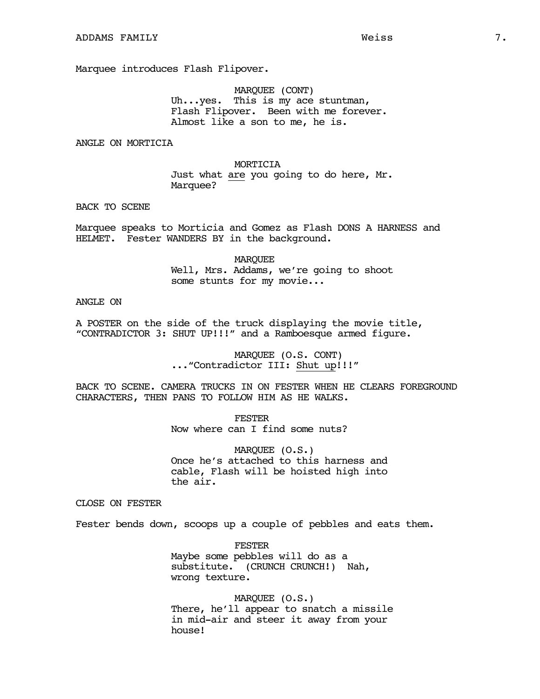Marquee introduces Flash Flipover.

MARQUEE (CONT) Uh...yes. This is my ace stuntman, Flash Flipover. Been with me forever. Almost like a son to me, he is.

ANGLE ON MORTICIA

MORTICIA Just what are you going to do here, Mr. Marquee?

BACK TO SCENE

Marquee speaks to Morticia and Gomez as Flash DONS A HARNESS and HELMET. Fester WANDERS BY in the background.

> MARQUEE Well, Mrs. Addams, we're going to shoot some stunts for my movie...

### ANGLE ON

A POSTER on the side of the truck displaying the movie title, "CONTRADICTOR 3: SHUT UP!!!" and a Ramboesque armed figure.

> MARQUEE (O.S. CONT) ..."Contradictor III: Shut up!!!"

BACK TO SCENE. CAMERA TRUCKS IN ON FESTER WHEN HE CLEARS FOREGROUND CHARACTERS, THEN PANS TO FOLLOW HIM AS HE WALKS.

> FESTER Now where can I find some nuts?

MARQUEE (O.S.) Once he's attached to this harness and cable, Flash will be hoisted high into the air.

CLOSE ON FESTER

Fester bends down, scoops up a couple of pebbles and eats them.

**FESTER** Maybe some pebbles will do as a substitute. (CRUNCH CRUNCH!) Nah, wrong texture.

MARQUEE (O.S.) There, he'll appear to snatch a missile in mid-air and steer it away from your house!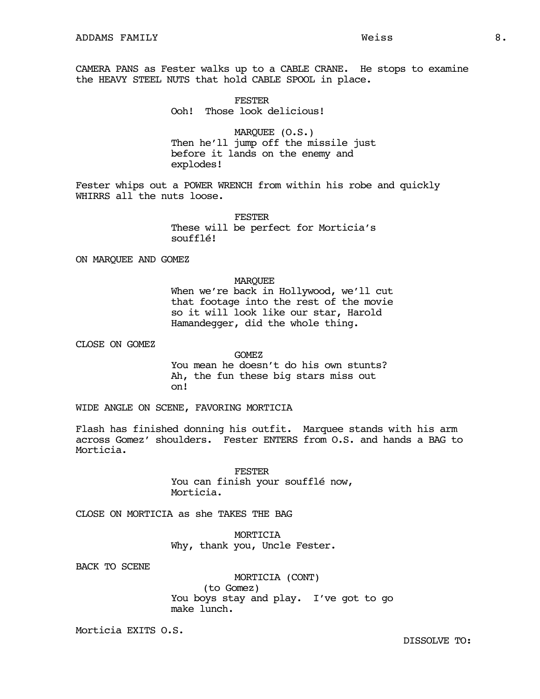FESTER Ooh! Those look delicious!

MARQUEE (O.S.) Then he'll jump off the missile just before it lands on the enemy and explodes!

Fester whips out a POWER WRENCH from within his robe and quickly WHIRRS all the nuts loose.

> **FESTER** These will be perfect for Morticia's soufflé!

ON MARQUEE AND GOMEZ

### MARQUEE

When we're back in Hollywood, we'll cut that footage into the rest of the movie so it will look like our star, Harold Hamandegger, did the whole thing.

CLOSE ON GOMEZ

GOMEZ You mean he doesn't do his own stunts? Ah, the fun these big stars miss out on!

WIDE ANGLE ON SCENE, FAVORING MORTICIA

Flash has finished donning his outfit. Marquee stands with his arm across Gomez' shoulders. Fester ENTERS from O.S. and hands a BAG to Morticia.

> FESTER You can finish your soufflé now, Morticia.

CLOSE ON MORTICIA as she TAKES THE BAG

MORTICIA Why, thank you, Uncle Fester.

BACK TO SCENE

MORTICIA (CONT) (to Gomez) You boys stay and play. I've got to go make lunch.

Morticia EXITS O.S.

DISSOLVE TO: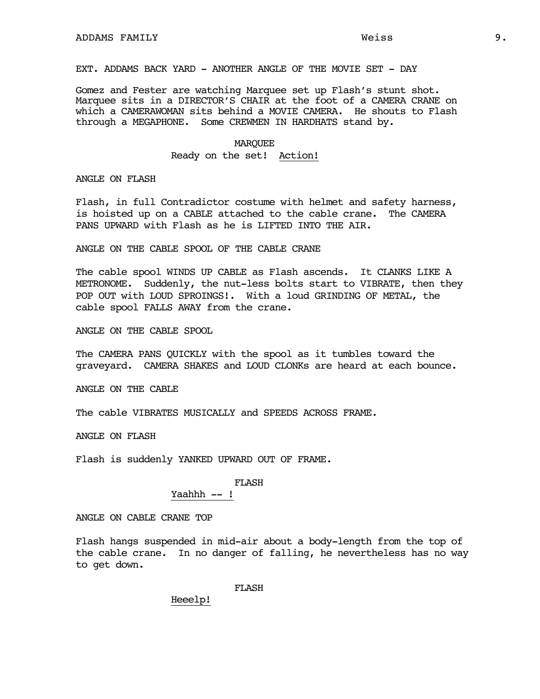EXT. ADDAMS BACK YARD - ANOTHER ANGLE OF THE MOVIE SET - DAY

Gomez and Fester are watching Marquee set up Flash's stunt shot. Marquee sits in a DIRECTOR'S CHAIR at the foot of a CAMERA CRANE on which a CAMERAWOMAN sits behind a MOVIE CAMERA. He shouts to Flash through a MEGAPHONE. Some CREWMEN IN HARDHATS stand by.

#### MARQUEE

Ready on the set! Action!

ANGLE ON FLASH

Flash, in full Contradictor costume with helmet and safety harness, is hoisted up on a CABLE attached to the cable crane. The CAMERA PANS UPWARD with Flash as he is LIFTED INTO THE AIR.

ANGLE ON THE CABLE SPOOL OF THE CABLE CRANE

The cable spool WINDS UP CABLE as Flash ascends. It CLANKS LIKE A METRONOME. Suddenly, the nut-less bolts start to VIBRATE, then they POP OUT with LOUD SPROINGS!. With a loud GRINDING OF METAL, the cable spool FALLS AWAY from the crane.

ANGLE ON THE CABLE SPOOL

The CAMERA PANS QUICKLY with the spool as it tumbles toward the graveyard. CAMERA SHAKES and LOUD CLONKs are heard at each bounce.

ANGLE ON THE CABLE

The cable VIBRATES MUSICALLY and SPEEDS ACROSS FRAME.

ANGLE ON FLASH

Flash is suddenly YANKED UPWARD OUT OF FRAME.

### **FLASH**

## Yaahhh -- !

ANGLE ON CABLE CRANE TOP

Flash hangs suspended in mid-air about a body-length from the top of the cable crane. In no danger of falling, he nevertheless has no way to get down.

FLASH

Heeelp!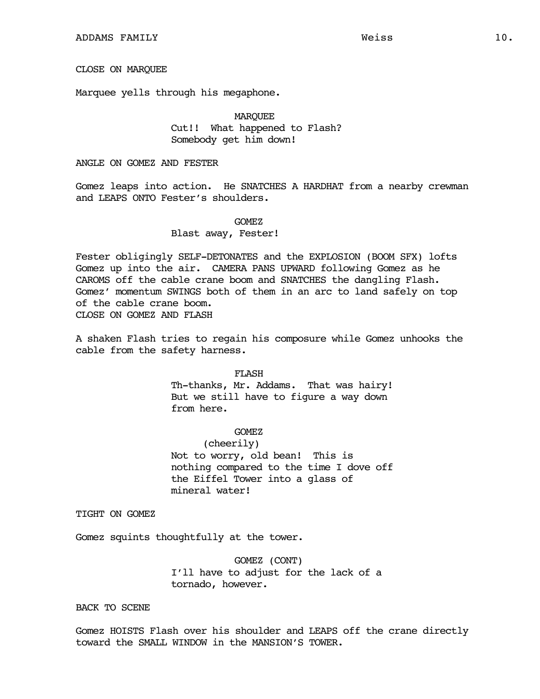## CLOSE ON MARQUEE

Marquee yells through his megaphone.

# MARQUEE Cut!! What happened to Flash? Somebody get him down!

### ANGLE ON GOMEZ AND FESTER

Gomez leaps into action. He SNATCHES A HARDHAT from a nearby crewman and LEAPS ONTO Fester's shoulders.

## GOMEZ Blast away, Fester!

Fester obligingly SELF-DETONATES and the EXPLOSION (BOOM SFX) lofts Gomez up into the air. CAMERA PANS UPWARD following Gomez as he CAROMS off the cable crane boom and SNATCHES the dangling Flash. Gomez' momentum SWINGS both of them in an arc to land safely on top of the cable crane boom. CLOSE ON GOMEZ AND FLASH

A shaken Flash tries to regain his composure while Gomez unhooks the cable from the safety harness.

### FLASH

Th-thanks, Mr. Addams. That was hairy! But we still have to figure a way down from here.

## GOMEZ

(cheerily) Not to worry, old bean! This is nothing compared to the time I dove off the Eiffel Tower into a glass of mineral water!

TIGHT ON GOMEZ

Gomez squints thoughtfully at the tower.

GOMEZ (CONT) I'll have to adjust for the lack of a tornado, however.

BACK TO SCENE

Gomez HOISTS Flash over his shoulder and LEAPS off the crane directly toward the SMALL WINDOW in the MANSION'S TOWER.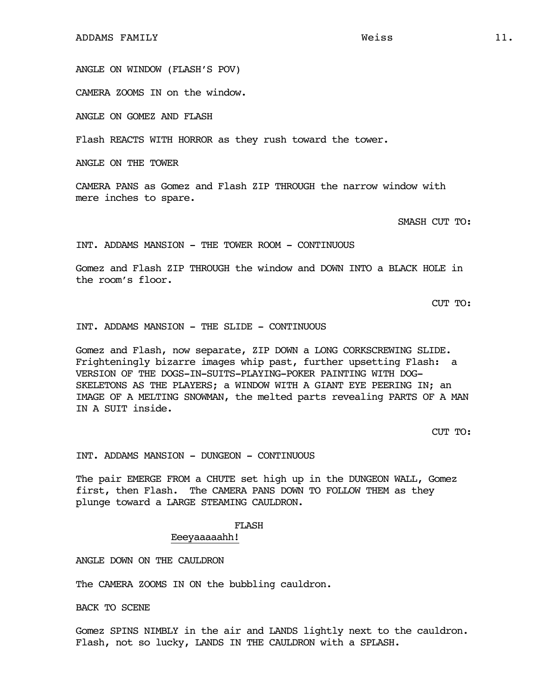ANGLE ON WINDOW (FLASH'S POV)

CAMERA ZOOMS IN on the window.

ANGLE ON GOMEZ AND FLASH

Flash REACTS WITH HORROR as they rush toward the tower.

ANGLE ON THE TOWER

CAMERA PANS as Gomez and Flash ZIP THROUGH the narrow window with mere inches to spare.

SMASH CUT TO:

INT. ADDAMS MANSION - THE TOWER ROOM - CONTINUOUS

Gomez and Flash ZIP THROUGH the window and DOWN INTO a BLACK HOLE in the room's floor.

CUT TO:

INT. ADDAMS MANSION - THE SLIDE - CONTINUOUS

Gomez and Flash, now separate, ZIP DOWN a LONG CORKSCREWING SLIDE. Frighteningly bizarre images whip past, further upsetting Flash: a VERSION OF THE DOGS-IN-SUITS-PLAYING-POKER PAINTING WITH DOG-SKELETONS AS THE PLAYERS; a WINDOW WITH A GIANT EYE PEERING IN; an IMAGE OF A MELTING SNOWMAN, the melted parts revealing PARTS OF A MAN IN A SUIT inside.

CUT TO:

INT. ADDAMS MANSION - DUNGEON - CONTINUOUS

The pair EMERGE FROM a CHUTE set high up in the DUNGEON WALL, Gomez first, then Flash. The CAMERA PANS DOWN TO FOLLOW THEM as they plunge toward a LARGE STEAMING CAULDRON.

### FLASH

Eeeyaaaaahh!

ANGLE DOWN ON THE CAULDRON

The CAMERA ZOOMS IN ON the bubbling cauldron.

BACK TO SCENE

Gomez SPINS NIMBLY in the air and LANDS lightly next to the cauldron. Flash, not so lucky, LANDS IN THE CAULDRON with a SPLASH.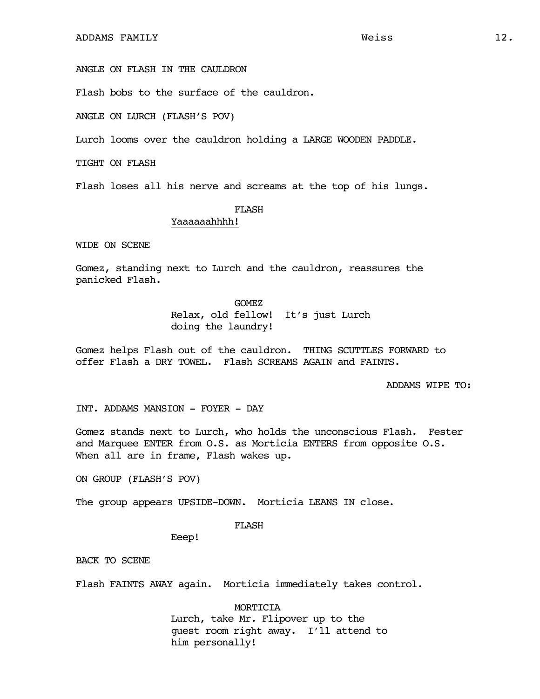ANGLE ON FLASH IN THE CAULDRON

Flash bobs to the surface of the cauldron.

ANGLE ON LURCH (FLASH'S POV)

Lurch looms over the cauldron holding a LARGE WOODEN PADDLE.

TIGHT ON FLASH

Flash loses all his nerve and screams at the top of his lungs.

## FLASH

### Yaaaaaahhhh!

WIDE ON SCENE

Gomez, standing next to Lurch and the cauldron, reassures the panicked Flash.

#### GOMEZ

Relax, old fellow! It's just Lurch doing the laundry!

Gomez helps Flash out of the cauldron. THING SCUTTLES FORWARD to offer Flash a DRY TOWEL. Flash SCREAMS AGAIN and FAINTS.

ADDAMS WIPE TO:

INT. ADDAMS MANSION - FOYER - DAY

Gomez stands next to Lurch, who holds the unconscious Flash. Fester and Marquee ENTER from O.S. as Morticia ENTERS from opposite O.S. When all are in frame, Flash wakes up.

ON GROUP (FLASH'S POV)

The group appears UPSIDE-DOWN. Morticia LEANS IN close.

### FLASH

Eeep!

BACK TO SCENE

Flash FAINTS AWAY again. Morticia immediately takes control.

MORTICIA Lurch, take Mr. Flipover up to the guest room right away. I'll attend to him personally!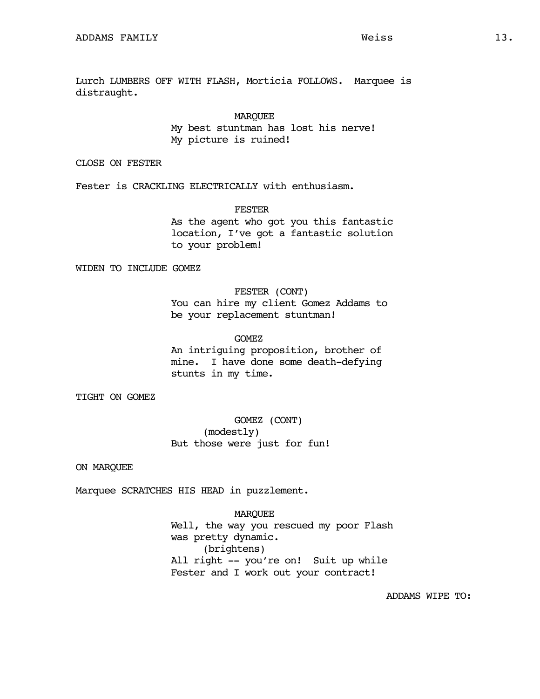Lurch LUMBERS OFF WITH FLASH, Morticia FOLLOWS. Marquee is distraught.

> MARQUEE My best stuntman has lost his nerve! My picture is ruined!

CLOSE ON FESTER

Fester is CRACKLING ELECTRICALLY with enthusiasm.

FESTER

As the agent who got you this fantastic location, I've got a fantastic solution to your problem!

WIDEN TO INCLUDE GOMEZ

# FESTER (CONT)

You can hire my client Gomez Addams to be your replacement stuntman!

GOMEZ

An intriguing proposition, brother of mine. I have done some death-defying stunts in my time.

TIGHT ON GOMEZ

GOMEZ (CONT) (modestly) But those were just for fun!

ON MARQUEE

Marquee SCRATCHES HIS HEAD in puzzlement.

MARQUEE Well, the way you rescued my poor Flash was pretty dynamic. (brightens) All right -- you're on! Suit up while Fester and I work out your contract!

ADDAMS WIPE TO: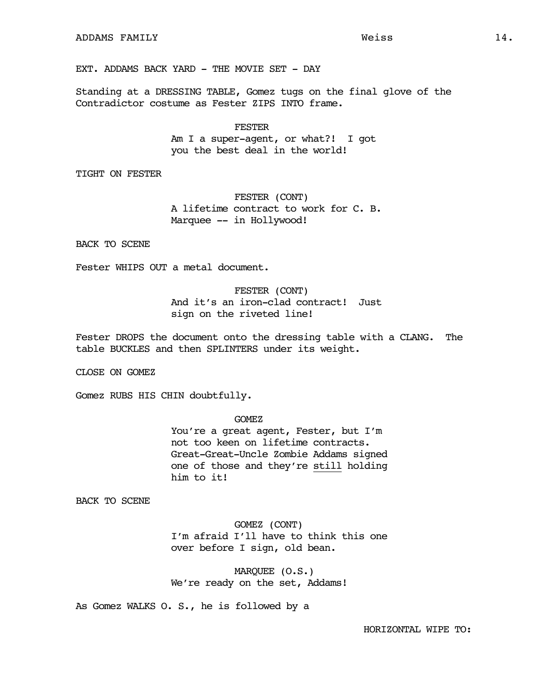EXT. ADDAMS BACK YARD - THE MOVIE SET - DAY

Standing at a DRESSING TABLE, Gomez tugs on the final glove of the Contradictor costume as Fester ZIPS INTO frame.

> **FESTER** Am I a super-agent, or what?! I got you the best deal in the world!

TIGHT ON FESTER

FESTER (CONT) A lifetime contract to work for C. B. Marquee -- in Hollywood!

BACK TO SCENE

Fester WHIPS OUT a metal document.

FESTER (CONT) And it's an iron-clad contract! Just sign on the riveted line!

Fester DROPS the document onto the dressing table with a CLANG. The table BUCKLES and then SPLINTERS under its weight.

CLOSE ON GOMEZ

Gomez RUBS HIS CHIN doubtfully.

GOMEZ

You're a great agent, Fester, but I'm not too keen on lifetime contracts. Great-Great-Uncle Zombie Addams signed one of those and they're still holding him to it!

BACK TO SCENE

GOMEZ (CONT) I'm afraid I'll have to think this one over before I sign, old bean.

MARQUEE (O.S.) We're ready on the set, Addams!

As Gomez WALKS O. S., he is followed by a

HORIZONTAL WIPE TO: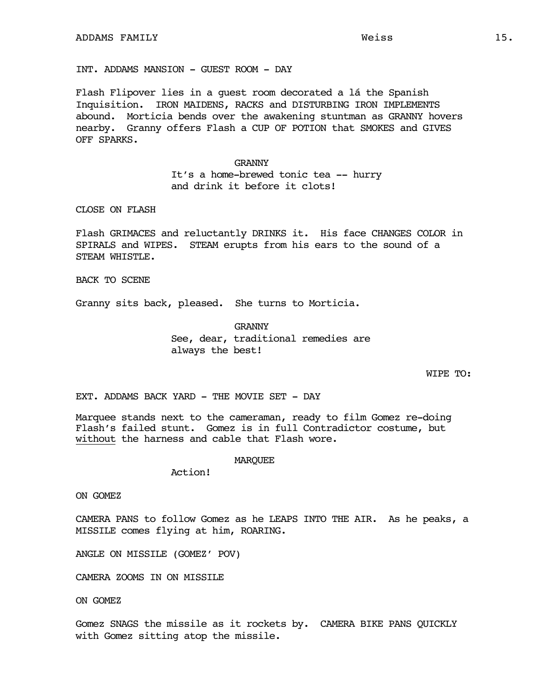INT. ADDAMS MANSION - GUEST ROOM - DAY

Flash Flipover lies in a guest room decorated a lá the Spanish Inquisition. IRON MAIDENS, RACKS and DISTURBING IRON IMPLEMENTS abound. Morticia bends over the awakening stuntman as GRANNY hovers nearby. Granny offers Flash a CUP OF POTION that SMOKES and GIVES OFF SPARKS.

> GRANNY It's a home-brewed tonic tea -- hurry and drink it before it clots!

## CLOSE ON FLASH

Flash GRIMACES and reluctantly DRINKS it. His face CHANGES COLOR in SPIRALS and WIPES. STEAM erupts from his ears to the sound of a STEAM WHISTLE.

BACK TO SCENE

Granny sits back, pleased. She turns to Morticia.

GRANNY See, dear, traditional remedies are always the best!

WIPE TO:

EXT. ADDAMS BACK YARD - THE MOVIE SET - DAY

Marquee stands next to the cameraman, ready to film Gomez re-doing Flash's failed stunt. Gomez is in full Contradictor costume, but without the harness and cable that Flash wore.

#### MARQUEE

Action!

ON GOMEZ

CAMERA PANS to follow Gomez as he LEAPS INTO THE AIR. As he peaks, a MISSILE comes flying at him, ROARING.

ANGLE ON MISSILE (GOMEZ' POV)

CAMERA ZOOMS IN ON MISSILE

ON GOMEZ

Gomez SNAGS the missile as it rockets by. CAMERA BIKE PANS QUICKLY with Gomez sitting atop the missile.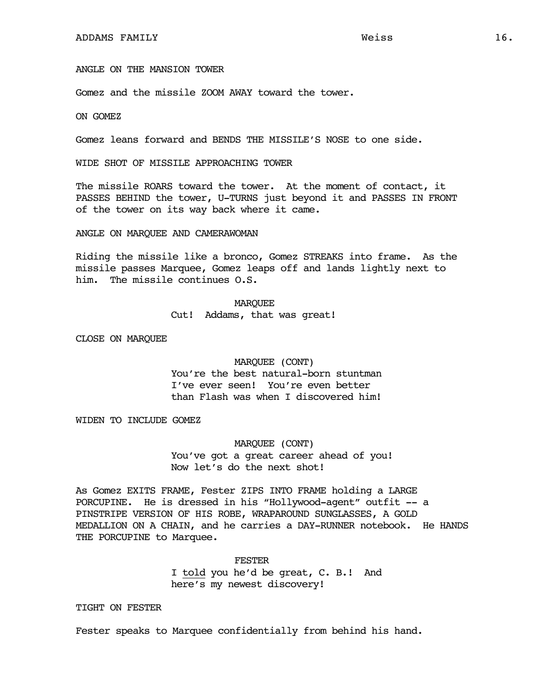ANGLE ON THE MANSION TOWER

Gomez and the missile ZOOM AWAY toward the tower.

ON GOMEZ

Gomez leans forward and BENDS THE MISSILE'S NOSE to one side.

WIDE SHOT OF MISSILE APPROACHING TOWER

The missile ROARS toward the tower. At the moment of contact, it PASSES BEHIND the tower, U-TURNS just beyond it and PASSES IN FRONT of the tower on its way back where it came.

ANGLE ON MARQUEE AND CAMERAWOMAN

Riding the missile like a bronco, Gomez STREAKS into frame. As the missile passes Marquee, Gomez leaps off and lands lightly next to him. The missile continues O.S.

#### **MARQUEE**

Cut! Addams, that was great!

CLOSE ON MARQUEE

MARQUEE (CONT) You're the best natural-born stuntman

I've ever seen! You're even better than Flash was when I discovered him!

WIDEN TO INCLUDE GOMEZ

MARQUEE (CONT) You've got a great career ahead of you! Now let's do the next shot!

As Gomez EXITS FRAME, Fester ZIPS INTO FRAME holding a LARGE PORCUPINE. He is dressed in his "Hollywood-agent" outfit -- a PINSTRIPE VERSION OF HIS ROBE, WRAPAROUND SUNGLASSES, A GOLD MEDALLION ON A CHAIN, and he carries a DAY-RUNNER notebook. He HANDS THE PORCUPINE to Marquee.

> FESTER I told you he'd be great, C. B.! And here's my newest discovery!

TIGHT ON FESTER

Fester speaks to Marquee confidentially from behind his hand.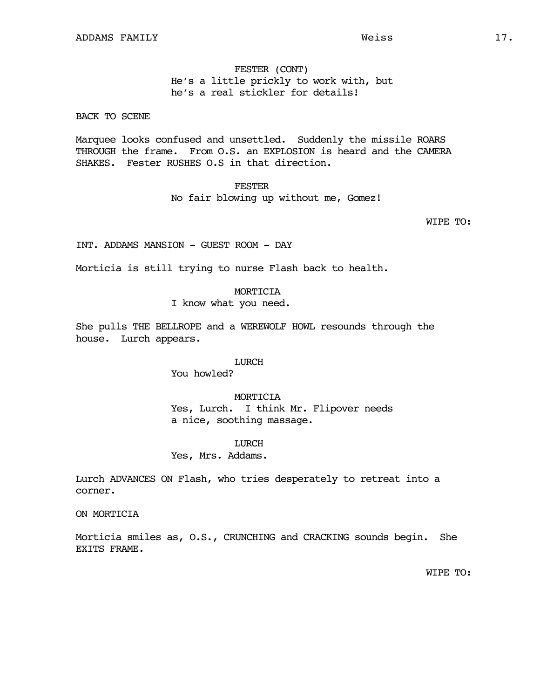FESTER (CONT) He's a little prickly to work with, but he's a real stickler for details!

# BACK TO SCENE

Marquee looks confused and unsettled. Suddenly the missile ROARS THROUGH the frame. From O.S. an EXPLOSION is heard and the CAMERA SHAKES. Fester RUSHES O.S in that direction.

**FESTER** 

No fair blowing up without me, Gomez!

WIPE TO:

INT. ADDAMS MANSION - GUEST ROOM - DAY

Morticia is still trying to nurse Flash back to health.

### MORTICIA

I know what you need.

She pulls THE BELLROPE and a WEREWOLF HOWL resounds through the house. Lurch appears.

### **LURCH**

You howled?

MORTICIA Yes, Lurch. I think Mr. Flipover needs a nice, soothing massage.

**LURCH** 

### Yes, Mrs. Addams.

Lurch ADVANCES ON Flash, who tries desperately to retreat into a corner.

ON MORTICIA

Morticia smiles as, O.S., CRUNCHING and CRACKING sounds begin. She EXITS FRAME.

WIPE TO: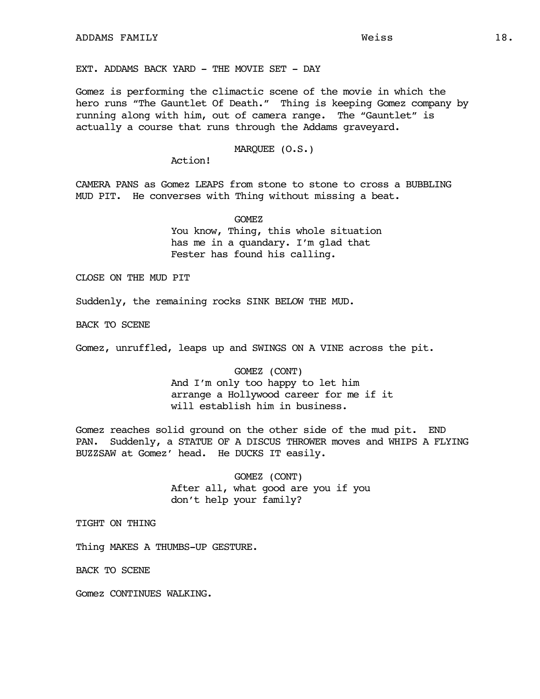EXT. ADDAMS BACK YARD - THE MOVIE SET - DAY

Gomez is performing the climactic scene of the movie in which the hero runs "The Gauntlet Of Death." Thing is keeping Gomez company by running along with him, out of camera range. The "Gauntlet" is actually a course that runs through the Addams graveyard.

### MARQUEE (O.S.)

Action!

CAMERA PANS as Gomez LEAPS from stone to stone to cross a BUBBLING MUD PIT. He converses with Thing without missing a beat.

> GOMEZ You know, Thing, this whole situation has me in a quandary. I'm glad that Fester has found his calling.

CLOSE ON THE MUD PIT

Suddenly, the remaining rocks SINK BELOW THE MUD.

BACK TO SCENE

Gomez, unruffled, leaps up and SWINGS ON A VINE across the pit.

GOMEZ (CONT) And I'm only too happy to let him arrange a Hollywood career for me if it will establish him in business.

Gomez reaches solid ground on the other side of the mud pit. END PAN. Suddenly, a STATUE OF A DISCUS THROWER moves and WHIPS A FLYING BUZZSAW at Gomez' head. He DUCKS IT easily.

> GOMEZ (CONT) After all, what good are you if you don't help your family?

TIGHT ON THING

Thing MAKES A THUMBS-UP GESTURE.

BACK TO SCENE

Gomez CONTINUES WALKING.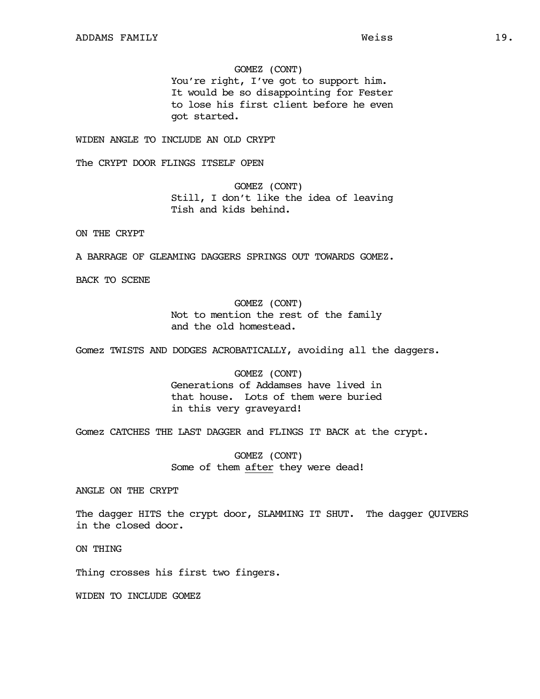### GOMEZ (CONT)

You're right, I've got to support him. It would be so disappointing for Fester to lose his first client before he even got started.

WIDEN ANGLE TO INCLUDE AN OLD CRYPT

The CRYPT DOOR FLINGS ITSELF OPEN

GOMEZ (CONT) Still, I don't like the idea of leaving Tish and kids behind.

ON THE CRYPT

A BARRAGE OF GLEAMING DAGGERS SPRINGS OUT TOWARDS GOMEZ.

BACK TO SCENE

# GOMEZ (CONT) Not to mention the rest of the family and the old homestead.

Gomez TWISTS AND DODGES ACROBATICALLY, avoiding all the daggers.

GOMEZ (CONT) Generations of Addamses have lived in that house. Lots of them were buried in this very graveyard!

Gomez CATCHES THE LAST DAGGER and FLINGS IT BACK at the crypt.

GOMEZ (CONT) Some of them after they were dead!

ANGLE ON THE CRYPT

The dagger HITS the crypt door, SLAMMING IT SHUT. The dagger QUIVERS in the closed door.

ON THING

Thing crosses his first two fingers.

WIDEN TO INCLUDE GOMEZ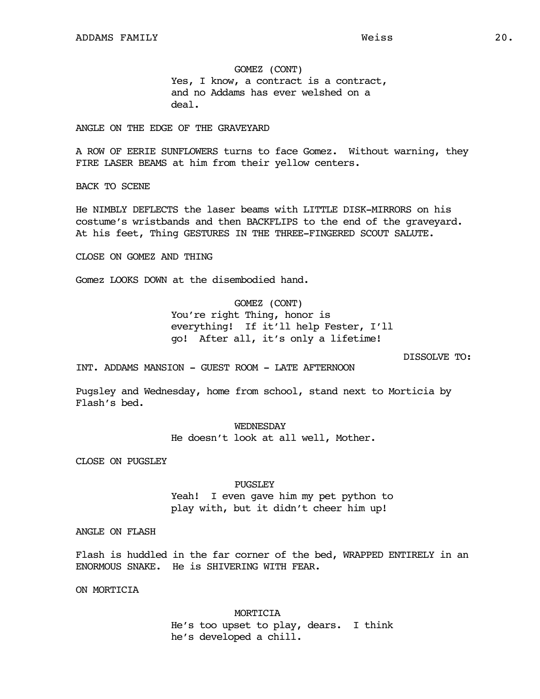GOMEZ (CONT) Yes, I know, a contract is a contract, and no Addams has ever welshed on a deal.

ANGLE ON THE EDGE OF THE GRAVEYARD

A ROW OF EERIE SUNFLOWERS turns to face Gomez. Without warning, they FIRE LASER BEAMS at him from their yellow centers.

BACK TO SCENE

He NIMBLY DEFLECTS the laser beams with LITTLE DISK-MIRRORS on his costume's wristbands and then BACKFLIPS to the end of the graveyard. At his feet, Thing GESTURES IN THE THREE-FINGERED SCOUT SALUTE.

CLOSE ON GOMEZ AND THING

Gomez LOOKS DOWN at the disembodied hand.

GOMEZ (CONT)

You're right Thing, honor is everything! If it'll help Fester, I'll go! After all, it's only a lifetime!

DISSOLVE TO:

INT. ADDAMS MANSION - GUEST ROOM - LATE AFTERNOON

Pugsley and Wednesday, home from school, stand next to Morticia by Flash's bed.

> WEDNESDAY He doesn't look at all well, Mother.

CLOSE ON PUGSLEY

PUGSLEY

Yeah! I even gave him my pet python to play with, but it didn't cheer him up!

ANGLE ON FLASH

Flash is huddled in the far corner of the bed, WRAPPED ENTIRELY in an ENORMOUS SNAKE. He is SHIVERING WITH FEAR.

ON MORTICIA

MORTICIA He's too upset to play, dears. I think he's developed a chill.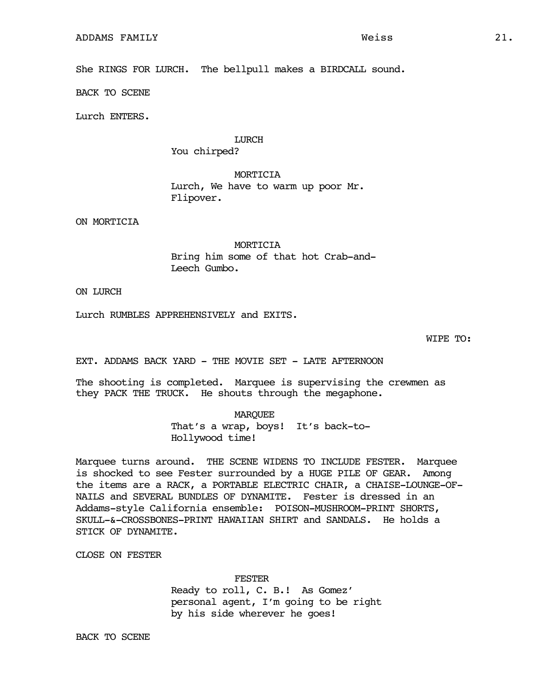She RINGS FOR LURCH. The bellpull makes a BIRDCALL sound.

BACK TO SCENE

Lurch ENTERS.

### LURCH

You chirped?

MORTICIA Lurch, We have to warm up poor Mr. Flipover.

ON MORTICIA

MORTICIA Bring him some of that hot Crab-and-Leech Gumbo.

ON LURCH

Lurch RUMBLES APPREHENSIVELY and EXITS.

WIPE TO:

EXT. ADDAMS BACK YARD - THE MOVIE SET - LATE AFTERNOON

The shooting is completed. Marquee is supervising the crewmen as they PACK THE TRUCK. He shouts through the megaphone.

#### MARQUEE

That's a wrap, boys! It's back-to-Hollywood time!

Marquee turns around. THE SCENE WIDENS TO INCLUDE FESTER. Marquee is shocked to see Fester surrounded by a HUGE PILE OF GEAR. Among the items are a RACK, a PORTABLE ELECTRIC CHAIR, a CHAISE-LOUNGE-OF-NAILS and SEVERAL BUNDLES OF DYNAMITE. Fester is dressed in an Addams-style California ensemble: POISON-MUSHROOM-PRINT SHORTS, SKULL-&-CROSSBONES-PRINT HAWAIIAN SHIRT and SANDALS. He holds a STICK OF DYNAMITE.

CLOSE ON FESTER

FESTER

Ready to roll, C. B.! As Gomez' personal agent, I'm going to be right by his side wherever he goes!

BACK TO SCENE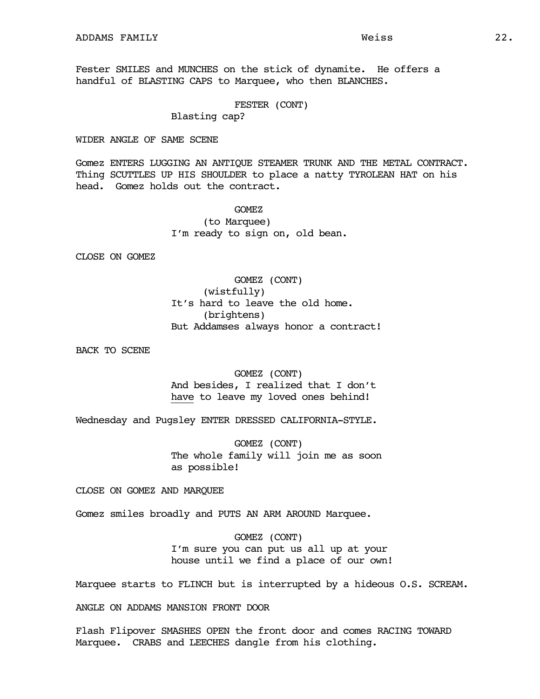Fester SMILES and MUNCHES on the stick of dynamite. He offers a handful of BLASTING CAPS to Marquee, who then BLANCHES.

### FESTER (CONT)

## Blasting cap?

### WIDER ANGLE OF SAME SCENE

Gomez ENTERS LUGGING AN ANTIQUE STEAMER TRUNK AND THE METAL CONTRACT. Thing SCUTTLES UP HIS SHOULDER to place a natty TYROLEAN HAT on his head. Gomez holds out the contract.

> GOMEZ (to Marquee) I'm ready to sign on, old bean.

CLOSE ON GOMEZ

GOMEZ (CONT) (wistfully) It's hard to leave the old home. (brightens) But Addamses always honor a contract!

BACK TO SCENE

GOMEZ (CONT) And besides, I realized that I don't have to leave my loved ones behind!

Wednesday and Pugsley ENTER DRESSED CALIFORNIA-STYLE.

GOMEZ (CONT) The whole family will join me as soon as possible!

CLOSE ON GOMEZ AND MARQUEE

Gomez smiles broadly and PUTS AN ARM AROUND Marquee.

GOMEZ (CONT) I'm sure you can put us all up at your house until we find a place of our own!

Marquee starts to FLINCH but is interrupted by a hideous O.S. SCREAM.

ANGLE ON ADDAMS MANSION FRONT DOOR

Flash Flipover SMASHES OPEN the front door and comes RACING TOWARD Marquee. CRABS and LEECHES dangle from his clothing.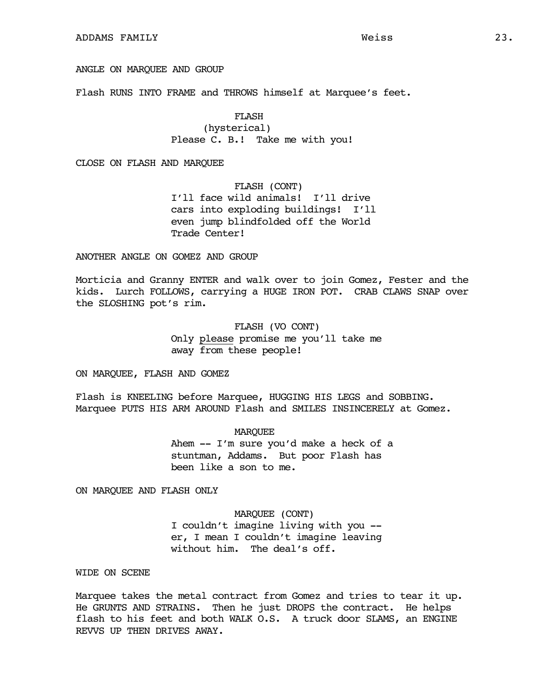### ANGLE ON MARQUEE AND GROUP

Flash RUNS INTO FRAME and THROWS himself at Marquee's feet.

FLASH (hysterical) Please C. B.! Take me with you!

CLOSE ON FLASH AND MARQUEE

FLASH (CONT) I'll face wild animals! I'll drive cars into exploding buildings! I'll even jump blindfolded off the World Trade Center!

### ANOTHER ANGLE ON GOMEZ AND GROUP

Morticia and Granny ENTER and walk over to join Gomez, Fester and the kids. Lurch FOLLOWS, carrying a HUGE IRON POT. CRAB CLAWS SNAP over the SLOSHING pot's rim.

> FLASH (VO CONT) Only please promise me you'll take me away from these people!

ON MARQUEE, FLASH AND GOMEZ

Flash is KNEELING before Marquee, HUGGING HIS LEGS and SOBBING. Marquee PUTS HIS ARM AROUND Flash and SMILES INSINCERELY at Gomez.

> MARQUEE Ahem -- I'm sure you'd make a heck of a

stuntman, Addams. But poor Flash has been like a son to me.

ON MARQUEE AND FLASH ONLY

MARQUEE (CONT) I couldn't imagine living with you - er, I mean I couldn't imagine leaving without him. The deal's off.

### WIDE ON SCENE

Marquee takes the metal contract from Gomez and tries to tear it up. He GRUNTS AND STRAINS. Then he just DROPS the contract. He helps flash to his feet and both WALK O.S. A truck door SLAMS, an ENGINE REVVS UP THEN DRIVES AWAY.